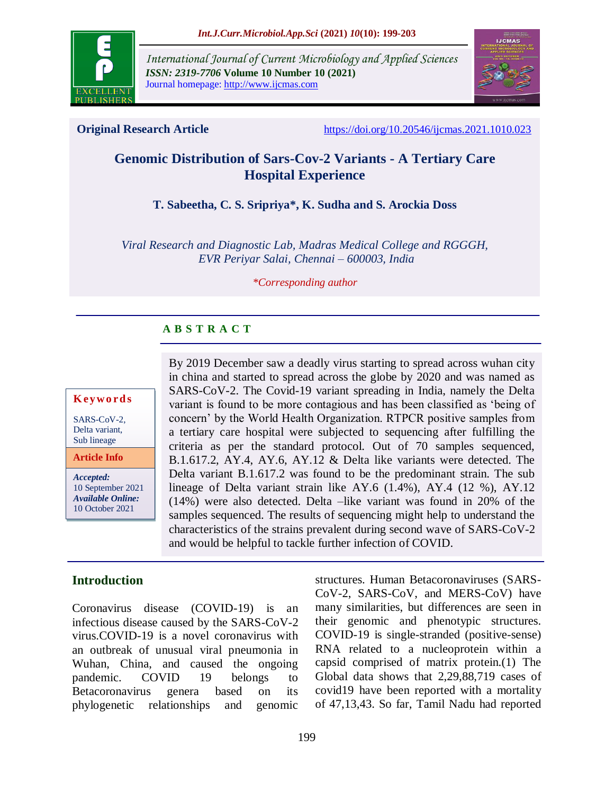

*International Journal of Current Microbiology and Applied Sciences ISSN: 2319-7706* **Volume 10 Number 10 (2021)**  Journal homepage: http://www.ijcmas.com



**Original Research Article** <https://doi.org/10.20546/ijcmas.2021.1010.023>

# **Genomic Distribution of Sars-Cov-2 Variants - A Tertiary Care Hospital Experience**

## **T. Sabeetha, C. S. Sripriya\*, K. Sudha and S. Arockia Doss**

*Viral Research and Diagnostic Lab, Madras Medical College and RGGGH, EVR Periyar Salai, Chennai – 600003, India*

#### *\*Corresponding author*

## **A B S T R A C T**

#### **K ey w o rd s**

SARS-CoV-2, Delta variant, Sub lineage

*Accepted:*  **Article Info**

10 September 2021 *Available Online:* 10 October 2021

By 2019 December saw a deadly virus starting to spread across wuhan city in china and started to spread across the globe by 2020 and was named as SARS-CoV-2. The Covid-19 variant spreading in India, namely the Delta variant is found to be more contagious and has been classified as "being of concern" by the World Health Organization. RTPCR positive samples from a tertiary care hospital were subjected to sequencing after fulfilling the criteria as per the standard protocol. Out of 70 samples sequenced, B.1.617.2, AY.4, AY.6, AY.12 & Delta like variants were detected. The Delta variant B.1.617.2 was found to be the predominant strain. The sub lineage of Delta variant strain like AY.6 (1.4%), AY.4 (12 %), AY.12 (14%) were also detected. Delta –like variant was found in 20% of the samples sequenced. The results of sequencing might help to understand the characteristics of the strains prevalent during second wave of SARS-CoV-2 and would be helpful to tackle further infection of COVID.

## **Introduction**

Coronavirus disease (COVID-19) is an infectious disease caused by the SARS-CoV-2 virus.COVID-19 is a novel coronavirus with an outbreak of unusual viral pneumonia in Wuhan, China, and caused the ongoing pandemic. COVID 19 belongs to Betacoronavirus genera based on its phylogenetic relationships and genomic

structures. Human Betacoronaviruses (SARS-CoV-2, SARS-CoV, and MERS-CoV) have many similarities, but differences are seen in their genomic and phenotypic structures. COVID-19 is single-stranded (positive-sense) RNA related to a nucleoprotein within a capsid comprised of matrix protein.(1) The Global data shows that 2,29,88,719 cases of covid19 have been reported with a mortality of 47,13,43. So far, Tamil Nadu had reported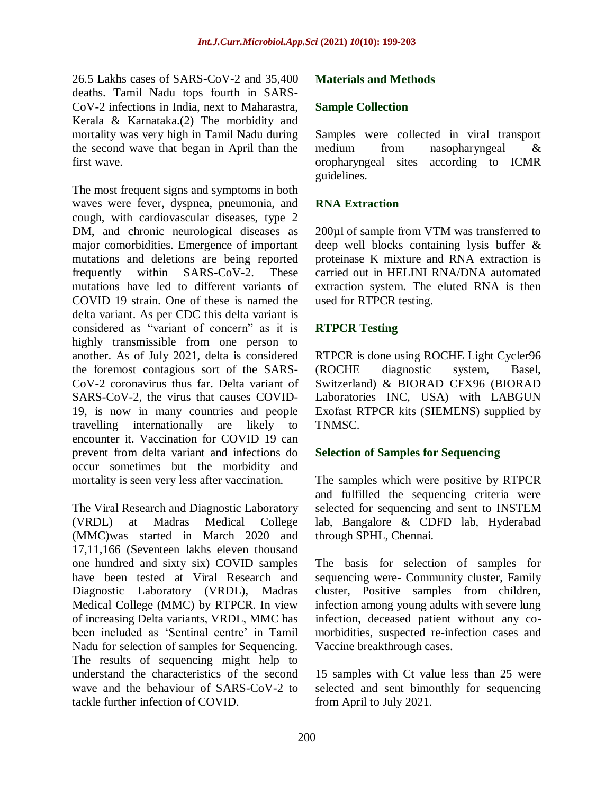26.5 Lakhs cases of SARS-CoV-2 and 35,400 deaths. Tamil Nadu tops fourth in SARS-CoV-2 infections in India, next to Maharastra, Kerala & Karnataka.(2) The morbidity and mortality was very high in Tamil Nadu during the second wave that began in April than the first wave.

The most frequent signs and symptoms in both waves were fever, dyspnea, pneumonia, and cough, with cardiovascular diseases, type 2 DM, and chronic neurological diseases as major comorbidities. Emergence of important mutations and deletions are being reported frequently within SARS-CoV-2. These mutations have led to different variants of COVID 19 strain. One of these is named the delta variant. As per CDC this delta variant is considered as "variant of concern" as it is highly transmissible from one person to another. As of July 2021, delta is considered the foremost contagious sort of the SARS-CoV-2 coronavirus thus far. Delta variant of SARS-CoV-2, the virus that causes COVID-19, is now in many countries and people travelling internationally are likely to encounter it. Vaccination for COVID 19 can prevent from delta variant and infections do occur sometimes but the morbidity and mortality is seen very less after vaccination.

The Viral Research and Diagnostic Laboratory (VRDL) at Madras Medical College (MMC)was started in March 2020 and 17,11,166 (Seventeen lakhs eleven thousand one hundred and sixty six) COVID samples have been tested at Viral Research and Diagnostic Laboratory (VRDL), Madras Medical College (MMC) by RTPCR. In view of increasing Delta variants, VRDL, MMC has been included as 'Sentinal centre' in Tamil Nadu for selection of samples for Sequencing. The results of sequencing might help to understand the characteristics of the second wave and the behaviour of SARS-CoV-2 to tackle further infection of COVID.

## **Materials and Methods**

#### **Sample Collection**

Samples were collected in viral transport medium from nasopharyngeal & oropharyngeal sites according to ICMR guidelines.

### **RNA Extraction**

200µl of sample from VTM was transferred to deep well blocks containing lysis buffer & proteinase K mixture and RNA extraction is carried out in HELINI RNA/DNA automated extraction system. The eluted RNA is then used for RTPCR testing.

### **RTPCR Testing**

RTPCR is done using ROCHE Light Cycler96 (ROCHE diagnostic system, Basel, Switzerland) & BIORAD CFX96 (BIORAD Laboratories INC, USA) with LABGUN Exofast RTPCR kits (SIEMENS) supplied by TNMSC.

#### **Selection of Samples for Sequencing**

The samples which were positive by RTPCR and fulfilled the sequencing criteria were selected for sequencing and sent to INSTEM lab, Bangalore & CDFD lab, Hyderabad through SPHL, Chennai.

The basis for selection of samples for sequencing were- Community cluster, Family cluster, Positive samples from children, infection among young adults with severe lung infection, deceased patient without any comorbidities, suspected re-infection cases and Vaccine breakthrough cases.

15 samples with Ct value less than 25 were selected and sent bimonthly for sequencing from April to July 2021.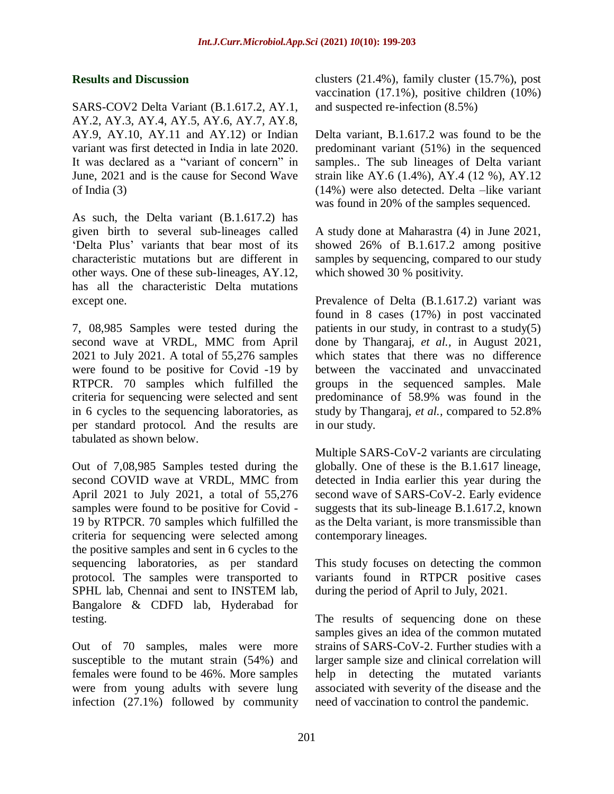#### **Results and Discussion**

SARS-COV2 Delta Variant (B.1.617.2, AY.1, AY.2, AY.3, AY.4, AY.5, AY.6, AY.7, AY.8, AY.9, AY.10, AY.11 and AY.12) or Indian variant was first detected in India in late 2020. It was declared as a "variant of concern" in June, 2021 and is the cause for Second Wave of India (3)

As such, the Delta variant (B.1.617.2) has given birth to several sub-lineages called ["Delta Plus"](https://indianexpress.com/article/explained/how-worrying-is-delta-plus-sars-cov2-coronavirus-7380124/) variants that bear most of its characteristic mutations but are different in other ways. One of these sub-lineages, AY.12, has all the characteristic Delta mutations except one.

7, 08,985 Samples were tested during the second wave at VRDL, MMC from April 2021 to July 2021. A total of 55,276 samples were found to be positive for Covid -19 by RTPCR. 70 samples which fulfilled the criteria for sequencing were selected and sent in 6 cycles to the sequencing laboratories, as per standard protocol. And the results are tabulated as shown below.

Out of 7,08,985 Samples tested during the second COVID wave at VRDL, MMC from April 2021 to July 2021, a total of 55,276 samples were found to be positive for Covid - 19 by RTPCR. 70 samples which fulfilled the criteria for sequencing were selected among the positive samples and sent in 6 cycles to the sequencing laboratories, as per standard protocol. The samples were transported to SPHL lab, Chennai and sent to INSTEM lab, Bangalore & CDFD lab, Hyderabad for testing.

Out of 70 samples, males were more susceptible to the mutant strain (54%) and females were found to be 46%. More samples were from young adults with severe lung infection (27.1%) followed by community clusters (21.4%), family cluster (15.7%), post vaccination (17.1%), positive children (10%) and suspected re-infection (8.5%)

Delta variant, B.1.617.2 was found to be the predominant variant (51%) in the sequenced samples.. The sub lineages of Delta variant strain like AY.6 (1.4%), AY.4 (12 %), AY.12 (14%) were also detected. Delta –like variant was found in 20% of the samples sequenced.

A study done at Maharastra (4) in June 2021, showed 26% of B.1.617.2 among positive samples by sequencing, compared to our study which showed 30 % positivity.

Prevalence of Delta (B.1.617.2) variant was found in 8 cases (17%) in post vaccinated patients in our study, in contrast to a study(5) done by Thangaraj, *et al.,* in August 2021, which states that there was no difference between the vaccinated and unvaccinated groups in the sequenced samples. Male predominance of 58.9% was found in the study by Thangaraj, *et al.,* compared to 52.8% in our study.

Multiple SARS-CoV-2 variants are circulating globally. One of these is the B.1.617 lineage, detected in India earlier this year during the second wave of SARS-CoV-2. Early evidence suggests that its sub-lineage B.1.617.2, known as the Delta variant, is more transmissible than contemporary lineages.

This study focuses on detecting the common variants found in RTPCR positive cases during the period of April to July, 2021.

The results of sequencing done on these samples gives an idea of the common mutated strains of SARS-CoV-2. Further studies with a larger sample size and clinical correlation will help in detecting the mutated variants associated with severity of the disease and the need of vaccination to control the pandemic.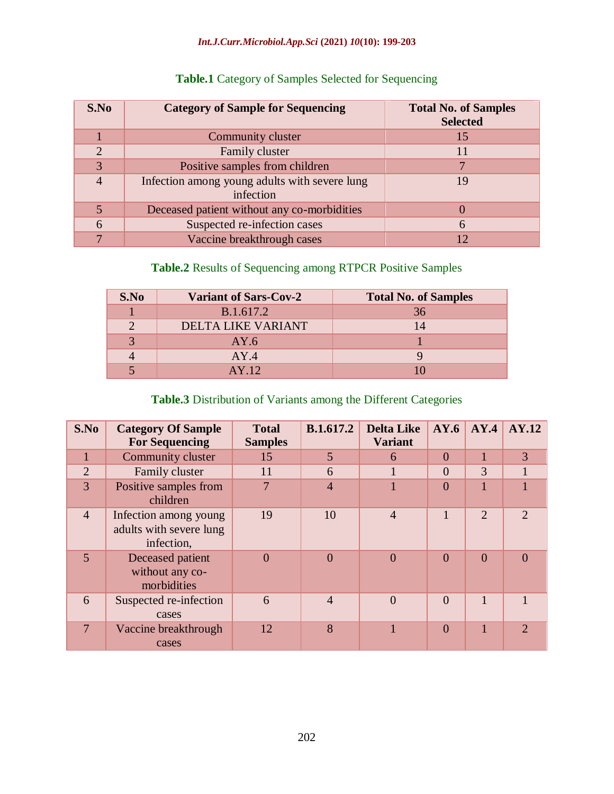#### *Int.J.Curr.Microbiol.App.Sci* **(2021)** *10***(10): 199-203**

| S.No           | <b>Category of Sample for Sequencing</b>                   | <b>Total No. of Samples</b><br><b>Selected</b> |
|----------------|------------------------------------------------------------|------------------------------------------------|
|                | Community cluster                                          | 15                                             |
| $\overline{2}$ | Family cluster                                             | 11                                             |
| 3              | Positive samples from children                             |                                                |
|                | Infection among young adults with severe lung<br>infection | 19                                             |
|                | Deceased patient without any co-morbidities                |                                                |
| 6              | Suspected re-infection cases                               | 6                                              |
|                | Vaccine breakthrough cases                                 | 12                                             |

# **Table.1** Category of Samples Selected for Sequencing

# **Table.2** Results of Sequencing among RTPCR Positive Samples

| S.No | <b>Variant of Sars-Cov-2</b> | <b>Total No. of Samples</b> |
|------|------------------------------|-----------------------------|
|      | B.1.617.2                    | 36                          |
|      | DELTA LIKE VARIANT           | 14                          |
|      | AY.6                         |                             |
|      | AY.4                         |                             |
|      | AY.12                        |                             |

# **Table.3** Distribution of Variants among the Different Categories

| S.No           | <b>Category Of Sample</b><br><b>For Sequencing</b>             | <b>Total</b><br><b>Samples</b> | <b>B.1.617.2</b> | <b>Delta Like</b><br><b>Variant</b> | AY.6     | AY.4           | <b>AY.12</b>   |
|----------------|----------------------------------------------------------------|--------------------------------|------------------|-------------------------------------|----------|----------------|----------------|
|                | Community cluster                                              | 15                             | 5                | 6                                   | $\Omega$ |                | 3              |
| $\overline{2}$ | Family cluster                                                 | 11                             | 6                |                                     | $\Omega$ | 3              |                |
| 3              | Positive samples from<br>children                              |                                | $\overline{4}$   |                                     | $\Omega$ |                |                |
| $\overline{4}$ | Infection among young<br>adults with severe lung<br>infection, | 19                             | 10               | $\overline{4}$                      |          | $\overline{2}$ | $\mathcal{D}$  |
| 5              | Deceased patient<br>without any co-<br>morbidities             | $\Omega$                       | $\Omega$         | $\theta$                            | $\Omega$ | $\Omega$       | $\Omega$       |
| 6              | Suspected re-infection<br>cases                                | 6                              | $\overline{4}$   | $\theta$                            | $\Omega$ |                |                |
| 7              | Vaccine breakthrough<br>cases                                  | 12                             | 8                |                                     | $\Omega$ |                | $\mathfrak{D}$ |